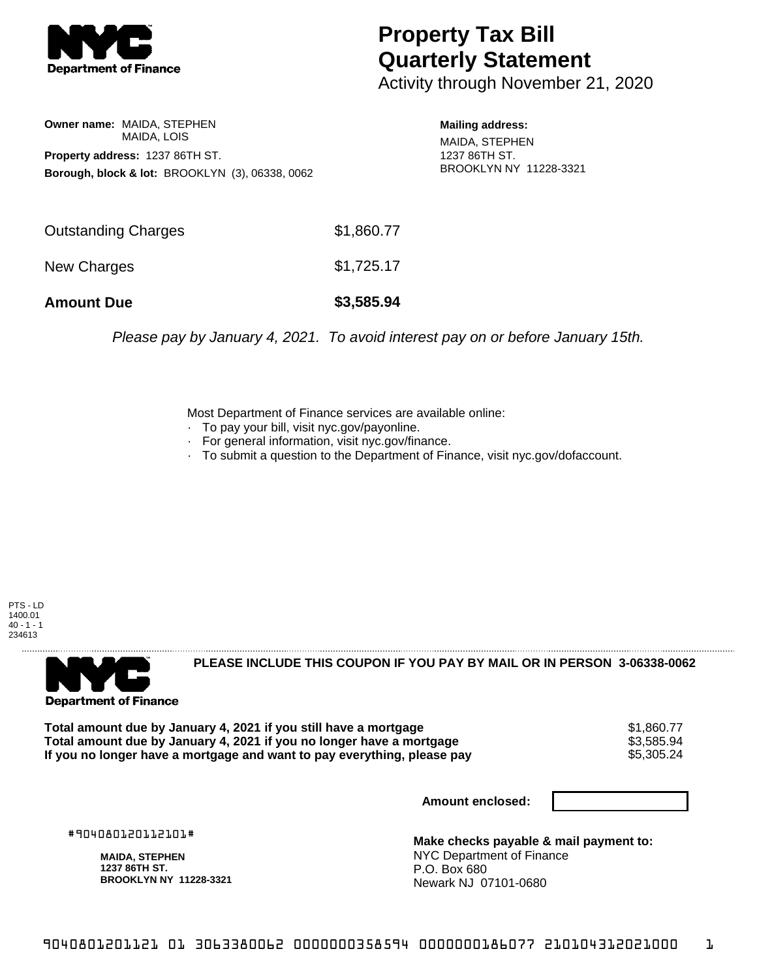

## **Property Tax Bill Quarterly Statement**

Activity through November 21, 2020

**Owner name:** MAIDA, STEPHEN MAIDA, LOIS **Property address:** 1237 86TH ST. **Borough, block & lot:** BROOKLYN (3), 06338, 0062

**Mailing address:** MAIDA, STEPHEN 1237 86TH ST. BROOKLYN NY 11228-3321

| <b>Amount Due</b>          | \$3,585.94 |
|----------------------------|------------|
| New Charges                | \$1,725.17 |
| <b>Outstanding Charges</b> | \$1,860.77 |

Please pay by January 4, 2021. To avoid interest pay on or before January 15th.

Most Department of Finance services are available online:

- · To pay your bill, visit nyc.gov/payonline.
- For general information, visit nyc.gov/finance.
- · To submit a question to the Department of Finance, visit nyc.gov/dofaccount.

PTS - LD 1400.01  $40 - 1 - 1$ 234613



**PLEASE INCLUDE THIS COUPON IF YOU PAY BY MAIL OR IN PERSON 3-06338-0062** 

**Total amount due by January 4, 2021 if you still have a mortgage** \$1,860.77 **Total amount due by January 4, 2021 if you no longer have a mortgage**  $$3,585.94$ **<br>If you no longer have a mortgage and want to pay everything, please pay** If you no longer have a mortgage and want to pay everything, please pay

**Amount enclosed:**

#904080120112101#

**MAIDA, STEPHEN 1237 86TH ST. BROOKLYN NY 11228-3321**

**Make checks payable & mail payment to:** NYC Department of Finance P.O. Box 680 Newark NJ 07101-0680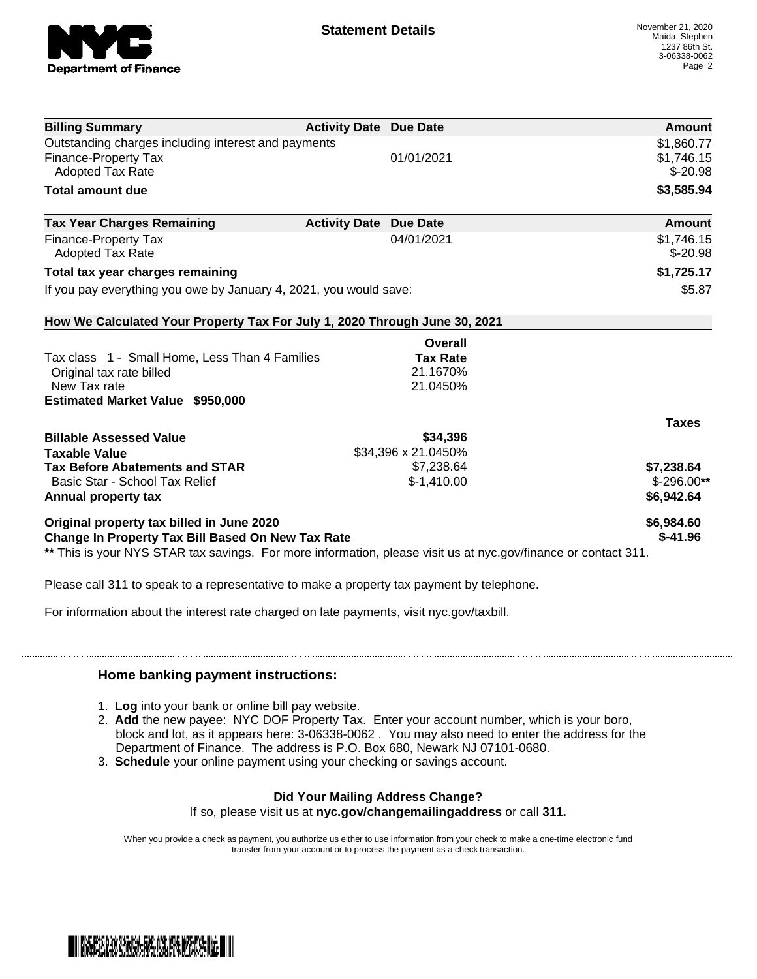

| <b>Billing Summary</b>                                                                                         | <b>Activity Date Due Date</b>           | Amount                   |
|----------------------------------------------------------------------------------------------------------------|-----------------------------------------|--------------------------|
| Outstanding charges including interest and payments                                                            |                                         | \$1,860.77               |
| <b>Finance-Property Tax</b>                                                                                    | 01/01/2021                              | \$1,746.15               |
| Adopted Tax Rate                                                                                               |                                         | $$-20.98$                |
| <b>Total amount due</b>                                                                                        |                                         | \$3,585.94               |
| <b>Tax Year Charges Remaining</b>                                                                              | <b>Activity Date</b><br><b>Due Date</b> | Amount                   |
| <b>Finance-Property Tax</b>                                                                                    | 04/01/2021                              | \$1,746.15               |
| <b>Adopted Tax Rate</b>                                                                                        |                                         | $$-20.98$                |
| Total tax year charges remaining                                                                               |                                         | \$1,725.17               |
| If you pay everything you owe by January 4, 2021, you would save:                                              |                                         | \$5.87                   |
| How We Calculated Your Property Tax For July 1, 2020 Through June 30, 2021                                     |                                         |                          |
|                                                                                                                |                                         | Overall                  |
| Tax class 1 - Small Home, Less Than 4 Families                                                                 |                                         | <b>Tax Rate</b>          |
| Original tax rate billed                                                                                       | 21.1670%                                |                          |
| New Tax rate                                                                                                   | 21.0450%                                |                          |
| <b>Estimated Market Value \$950,000</b>                                                                        |                                         |                          |
|                                                                                                                |                                         | <b>Taxes</b>             |
| <b>Billable Assessed Value</b>                                                                                 |                                         | \$34,396                 |
| <b>Taxable Value</b>                                                                                           | \$34,396 x 21.0450%                     |                          |
| <b>Tax Before Abatements and STAR</b>                                                                          |                                         | \$7,238.64<br>\$7,238.64 |
| Basic Star - School Tax Relief                                                                                 | $$-1,410.00$                            | $$-296.00**$             |
| Annual property tax                                                                                            |                                         | \$6,942.64               |
| Original property tax billed in June 2020                                                                      |                                         | \$6,984.60               |
| Change In Property Tax Bill Based On New Tax Rate                                                              |                                         | $$-41.96$                |
| ** This is your NYS STAR tax savings. For more information, please visit us at nyc.gov/finance or contact 311. |                                         |                          |

Please call 311 to speak to a representative to make a property tax payment by telephone.

For information about the interest rate charged on late payments, visit nyc.gov/taxbill.

## **Home banking payment instructions:**

- 1. **Log** into your bank or online bill pay website.
- 2. **Add** the new payee: NYC DOF Property Tax. Enter your account number, which is your boro, block and lot, as it appears here: 3-06338-0062 . You may also need to enter the address for the Department of Finance. The address is P.O. Box 680, Newark NJ 07101-0680.
- 3. **Schedule** your online payment using your checking or savings account.

## **Did Your Mailing Address Change?**

If so, please visit us at **nyc.gov/changemailingaddress** or call **311.**

When you provide a check as payment, you authorize us either to use information from your check to make a one-time electronic fund transfer from your account or to process the payment as a check transaction.